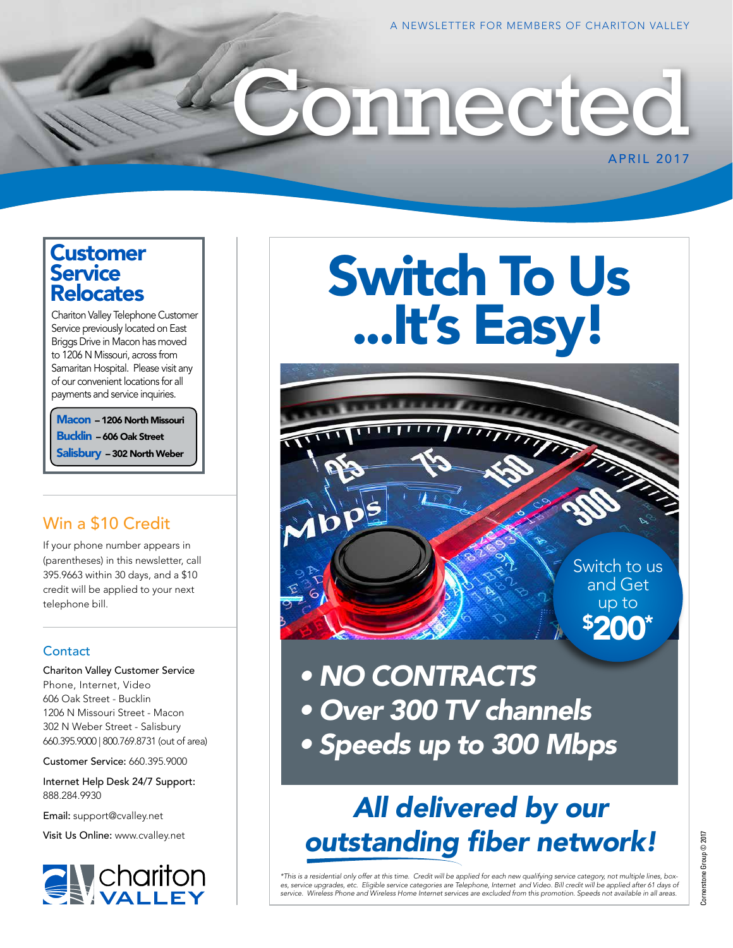### **Customer Service** Relocates

Chariton Valley Telephone Customer Service previously located on East Briggs Drive in Macon has moved to 1206 N Missouri, across from Samaritan Hospital. Please visit any of our convenient locations for all payments and service inquiries.

Macon – 1206 North Missouri Bucklin – 606 Oak Street Salisbury – 302 North Weber

### Win a \$10 Credit

If your phone number appears in (parentheses) in this newsletter, call 395.9663 within 30 days, and a \$10 credit will be applied to your next telephone bill.

#### **Contact**

Chariton Valley Customer Service Phone, Internet, Video 606 Oak Street - Bucklin 1206 N Missouri Street - Macon 302 N Weber Street - Salisbury 660.395.9000 | 800.769.8731 (out of area)

Customer Service: 660.395.9000

Internet Help Desk 24/7 Support: 888.284.9930

Email: support@cvalley.net

Visit Us Online: www.cvalley.net



# Switch To Us ...It's Easy!

onnected

Switch to us and Get up to \$ 200\*

APRIL 2017

*• NO CONTRACTS • Over 300 TV channels • Speeds up to 300 Mbps*

## *All delivered by our outstanding fiber network!*

\*This is a residential only offer at this time. Credit will be applied for each new qualifying service category, not multiple lines, box-<br>es, service upgrades, etc. Eligible service categories are Telephone, Internet and V *service. Wireless Phone and Wireless Home Internet services are excluded from this promotion. Speeds not available in all areas.*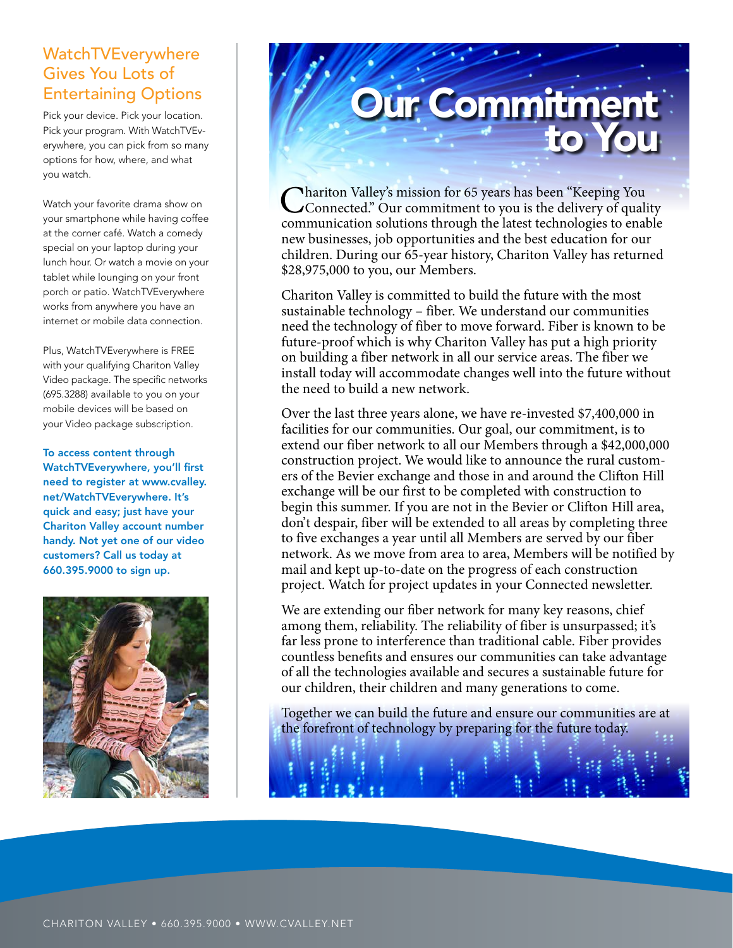### WatchTVEverywhere Gives You Lots of Entertaining Options

Pick your device. Pick your location. Pick your program. With WatchTVEverywhere, you can pick from so many options for how, where, and what you watch.

Watch your favorite drama show on your smartphone while having coffee at the corner café. Watch a comedy special on your laptop during your lunch hour. Or watch a movie on your tablet while lounging on your front porch or patio. WatchTVEverywhere works from anywhere you have an internet or mobile data connection.

Plus, WatchTVEverywhere is FREE with your qualifying Chariton Valley Video package. The specific networks (695.3288) available to you on your mobile devices will be based on your Video package subscription.

To access content through WatchTVEverywhere, you'll first need to register at www.cvalley. net/WatchTVEverywhere. It's quick and easy; just have your Chariton Valley account number handy. Not yet one of our video customers? Call us today at 660.395.9000 to sign up.



## Our Commitment to You

**Thariton Valley's mission for 65 years has been "Keeping You** Connected." Our commitment to you is the delivery of quality communication solutions through the latest technologies to enable new businesses, job opportunities and the best education for our children. During our 65-year history, Chariton Valley has returned \$28,975,000 to you, our Members.

Chariton Valley is committed to build the future with the most sustainable technology – fiber. We understand our communities need the technology of fiber to move forward. Fiber is known to be future-proof which is why Chariton Valley has put a high priority on building a fiber network in all our service areas. The fiber we install today will accommodate changes well into the future without the need to build a new network.

Over the last three years alone, we have re-invested \$7,400,000 in facilities for our communities. Our goal, our commitment, is to extend our fiber network to all our Members through a \$42,000,000 construction project. We would like to announce the rural customers of the Bevier exchange and those in and around the Clifton Hill exchange will be our first to be completed with construction to begin this summer. If you are not in the Bevier or Clifton Hill area, don't despair, fiber will be extended to all areas by completing three to five exchanges a year until all Members are served by our fiber network. As we move from area to area, Members will be notified by mail and kept up-to-date on the progress of each construction project. Watch for project updates in your Connected newsletter.

We are extending our fiber network for many key reasons, chief among them, reliability. The reliability of fiber is unsurpassed; it's far less prone to interference than traditional cable. Fiber provides countless benefits and ensures our communities can take advantage of all the technologies available and secures a sustainable future for our children, their children and many generations to come.

Together we can build the future and ensure our communities are at the forefront of technology by preparing for the future today.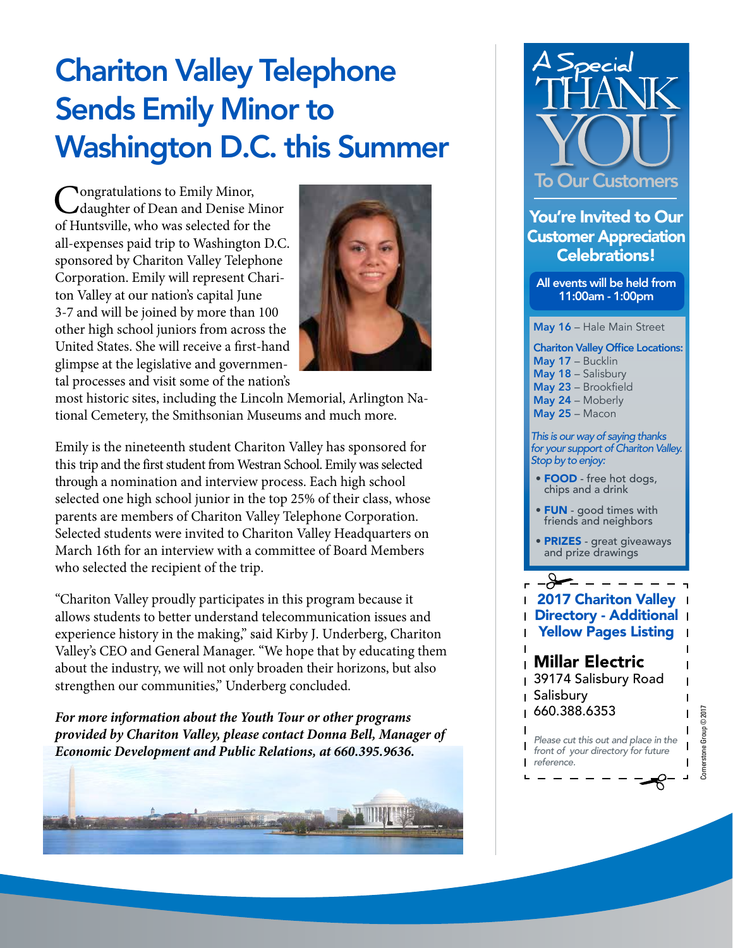## Chariton Valley Telephone Sends Emily Minor to Washington D.C. this Summer

Congratulations to Emily Minor,<br>
daughter of Dean and Denise Minor of Huntsville, who was selected for the all-expenses paid trip to Washington D.C. sponsored by Chariton Valley Telephone Corporation. Emily will represent Chariton Valley at our nation's capital June 3-7 and will be joined by more than 100 other high school juniors from across the United States. She will receive a first-hand glimpse at the legislative and governmental processes and visit some of the nation's



most historic sites, including the Lincoln Memorial, Arlington National Cemetery, the Smithsonian Museums and much more.

Emily is the nineteenth student Chariton Valley has sponsored for this trip and the first student from Westran School. Emily was selected through a nomination and interview process. Each high school selected one high school junior in the top 25% of their class, whose parents are members of Chariton Valley Telephone Corporation. Selected students were invited to Chariton Valley Headquarters on March 16th for an interview with a committee of Board Members who selected the recipient of the trip.

"Chariton Valley proudly participates in this program because it allows students to better understand telecommunication issues and experience history in the making," said Kirby J. Underberg, Chariton Valley's CEO and General Manager. "We hope that by educating them about the industry, we will not only broaden their horizons, but also strengthen our communities," Underberg concluded.

*For more information about the Youth Tour or other programs provided by Chariton Valley, please contact Donna Bell, Manager of Economic Development and Public Relations, at 660.395.9636.*





You're Invited to Our Customer Appreciation Celebrations!

All events will be held from 11:00am - 1:00pm

May 16 - Hale Main Street

Chariton Valley Office Locations: May 17 – Bucklin May 18 - Salisbury May 23 – Brookfield May 24 – Moberly May 25 – Macon

*This is our way of saying thanks for your support of Chariton Valley. Stop by to enjoy:*

- FOOD free hot dogs, chips and a drink
- **FUN** good times with friends and neighbors
- PRIZES great giveaways and prize drawings

 $\mathcal{L}% _{0}=\mathcal{L}_{\mathrm{CL}}\times\mathcal{L}_{\mathrm{CL}}\times\mathcal{L}_{\mathrm{CL}}$ 2017 Chariton Valley Directory - Additional Yellow Pages Listing

### Millar Electric

39174 Salisbury Road Salisbury  $\mathbf{I}$ 

660.388.6353

 $\mathbf{I}$ *Please cut this out and place in the*   $\mathbf{I}$ *front of your directory for future reference.*